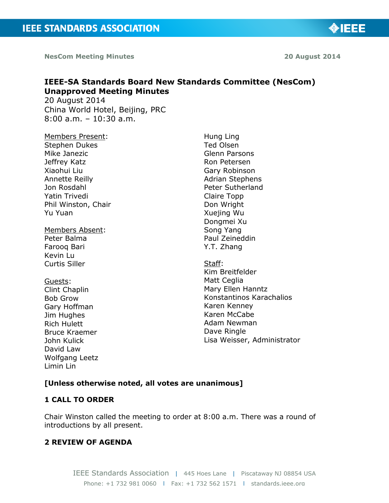

◈IEEE

# **IEEE-SA Standards Board New Standards Committee (NesCom) Unapproved Meeting Minutes**

20 August 2014 China World Hotel, Beijing, PRC 8:00 a.m. – 10:30 a.m.

Members Present: Stephen Dukes Mike Janezic Jeffrey Katz Xiaohui Liu Annette Reilly Jon Rosdahl Yatin Trivedi Phil Winston, Chair Yu Yuan

Members Absent: Peter Balma Farooq Bari Kevin Lu Curtis Siller

Guests: Clint Chaplin Bob Grow Gary Hoffman Jim Hughes Rich Hulett Bruce Kraemer John Kulick David Law Wolfgang Leetz Limin Lin

Hung Ling Ted Olsen Glenn Parsons Ron Petersen Gary Robinson Adrian Stephens Peter Sutherland Claire Topp Don Wright Xuejing Wu Dongmei Xu Song Yang Paul Zeineddin Y.T. Zhang

Staff: Kim Breitfelder Matt Ceglia Mary Ellen Hanntz Konstantinos Karachalios Karen Kenney Karen McCabe Adam Newman Dave Ringle Lisa Weisser, Administrator

#### **[Unless otherwise noted, all votes are unanimous]**

#### **1 CALL TO ORDER**

Chair Winston called the meeting to order at 8:00 a.m. There was a round of introductions by all present.

### **2 REVIEW OF AGENDA**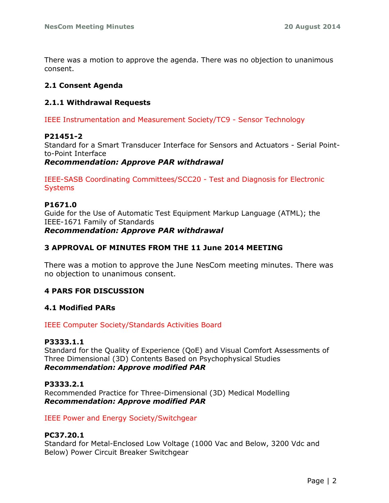There was a motion to approve the agenda. There was no objection to unanimous consent.

### **2.1 Consent Agenda**

### **2.1.1 Withdrawal Requests**

IEEE Instrumentation and Measurement Society/TC9 - Sensor Technology

#### **P21451-2**

Standard for a Smart Transducer Interface for Sensors and Actuators - Serial Pointto-Point Interface

#### *Recommendation: Approve PAR withdrawal*

IEEE-SASB Coordinating Committees/SCC20 - Test and Diagnosis for Electronic **Systems** 

#### **P1671.0**

Guide for the Use of Automatic Test Equipment Markup Language (ATML); the IEEE-1671 Family of Standards *Recommendation: Approve PAR withdrawal*

### **3 APPROVAL OF MINUTES FROM THE 11 June 2014 MEETING**

There was a motion to approve the June NesCom meeting minutes. There was no objection to unanimous consent.

## **4 PARS FOR DISCUSSION**

#### **4.1 Modified PARs**

#### IEEE Computer Society/Standards Activities Board

#### **P3333.1.1**

Standard for the Quality of Experience (QoE) and Visual Comfort Assessments of Three Dimensional (3D) Contents Based on Psychophysical Studies *Recommendation: Approve modified PAR*

#### **P3333.2.1**

Recommended Practice for Three-Dimensional (3D) Medical Modelling *Recommendation: Approve modified PAR*

IEEE Power and Energy Society/Switchgear

#### **PC37.20.1**

Standard for Metal-Enclosed Low Voltage (1000 Vac and Below, 3200 Vdc and Below) Power Circuit Breaker Switchgear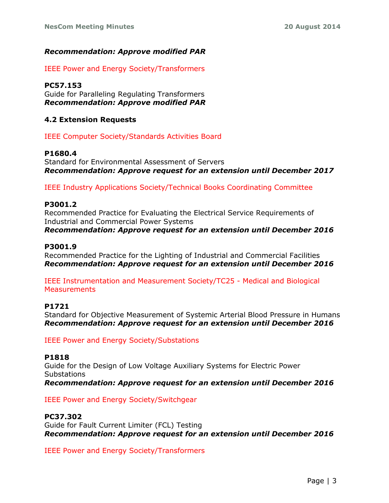## *Recommendation: Approve modified PAR*

IEEE Power and Energy Society/Transformers

## **PC57.153**

Guide for Paralleling Regulating Transformers *Recommendation: Approve modified PAR*

## **4.2 Extension Requests**

IEEE Computer Society/Standards Activities Board

## **P1680.4**

Standard for Environmental Assessment of Servers *Recommendation: Approve request for an extension until December 2017*

IEEE Industry Applications Society/Technical Books Coordinating Committee

## **P3001.2**

Recommended Practice for Evaluating the Electrical Service Requirements of Industrial and Commercial Power Systems

*Recommendation: Approve request for an extension until December 2016*

### **P3001.9**

Recommended Practice for the Lighting of Industrial and Commercial Facilities *Recommendation: Approve request for an extension until December 2016*

IEEE Instrumentation and Measurement Society/TC25 - Medical and Biological **Measurements** 

#### **P1721**

Standard for Objective Measurement of Systemic Arterial Blood Pressure in Humans *Recommendation: Approve request for an extension until December 2016*

IEEE Power and Energy Society/Substations

## **P1818**

Guide for the Design of Low Voltage Auxiliary Systems for Electric Power **Substations** *Recommendation: Approve request for an extension until December 2016*

IEEE Power and Energy Society/Switchgear

## **PC37.302**

Guide for Fault Current Limiter (FCL) Testing *Recommendation: Approve request for an extension until December 2016*

IEEE Power and Energy Society/Transformers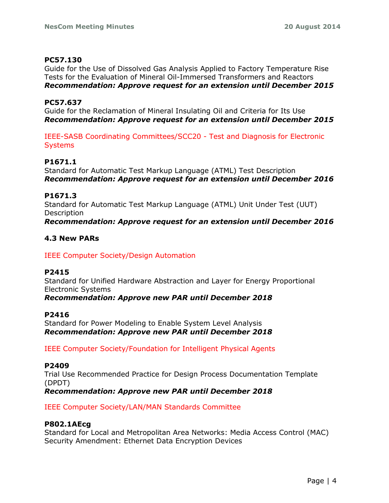### **PC57.130**

Guide for the Use of Dissolved Gas Analysis Applied to Factory Temperature Rise Tests for the Evaluation of Mineral Oil-Immersed Transformers and Reactors *Recommendation: Approve request for an extension until December 2015*

### **PC57.637**

Guide for the Reclamation of Mineral Insulating Oil and Criteria for Its Use *Recommendation: Approve request for an extension until December 2015*

IEEE-SASB Coordinating Committees/SCC20 - Test and Diagnosis for Electronic **Systems** 

## **P1671.1**

Standard for Automatic Test Markup Language (ATML) Test Description *Recommendation: Approve request for an extension until December 2016*

### **P1671.3**

Standard for Automatic Test Markup Language (ATML) Unit Under Test (UUT) **Description** *Recommendation: Approve request for an extension until December 2016*

### **4.3 New PARs**

## IEEE Computer Society/Design Automation

#### **P2415**

Standard for Unified Hardware Abstraction and Layer for Energy Proportional Electronic Systems

*Recommendation: Approve new PAR until December 2018*

#### **P2416**

Standard for Power Modeling to Enable System Level Analysis *Recommendation: Approve new PAR until December 2018*

IEEE Computer Society/Foundation for Intelligent Physical Agents

#### **P2409**

Trial Use Recommended Practice for Design Process Documentation Template (DPDT)

*Recommendation: Approve new PAR until December 2018*

IEEE Computer Society/LAN/MAN Standards Committee

#### **P802.1AEcg**

Standard for Local and Metropolitan Area Networks: Media Access Control (MAC) Security Amendment: Ethernet Data Encryption Devices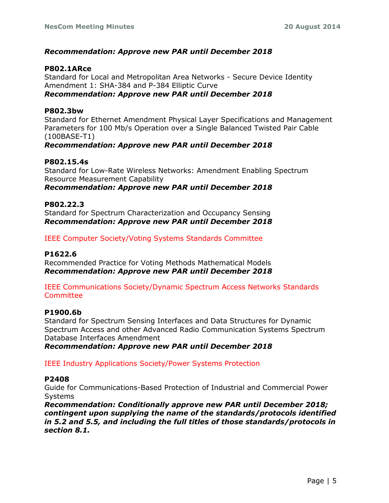### *Recommendation: Approve new PAR until December 2018*

#### **P802.1ARce**

Standard for Local and Metropolitan Area Networks - Secure Device Identity Amendment 1: SHA-384 and P-384 Elliptic Curve *Recommendation: Approve new PAR until December 2018*

#### **P802.3bw**

Standard for Ethernet Amendment Physical Layer Specifications and Management Parameters for 100 Mb/s Operation over a Single Balanced Twisted Pair Cable (100BASE-T1)

#### *Recommendation: Approve new PAR until December 2018*

#### **P802.15.4s**

Standard for Low-Rate Wireless Networks: Amendment Enabling Spectrum Resource Measurement Capability

*Recommendation: Approve new PAR until December 2018*

#### **P802.22.3**

Standard for Spectrum Characterization and Occupancy Sensing *Recommendation: Approve new PAR until December 2018*

#### IEEE Computer Society/Voting Systems Standards Committee

#### **P1622.6**

Recommended Practice for Voting Methods Mathematical Models *Recommendation: Approve new PAR until December 2018*

#### IEEE Communications Society/Dynamic Spectrum Access Networks Standards **Committee**

#### **P1900.6b**

Standard for Spectrum Sensing Interfaces and Data Structures for Dynamic Spectrum Access and other Advanced Radio Communication Systems Spectrum Database Interfaces Amendment

*Recommendation: Approve new PAR until December 2018*

#### IEEE Industry Applications Society/Power Systems Protection

#### **P2408**

Guide for Communications-Based Protection of Industrial and Commercial Power **Systems** 

*Recommendation: Conditionally approve new PAR until December 2018; contingent upon supplying the name of the standards/protocols identified in 5.2 and 5.5, and including the full titles of those standards/protocols in section 8.1.*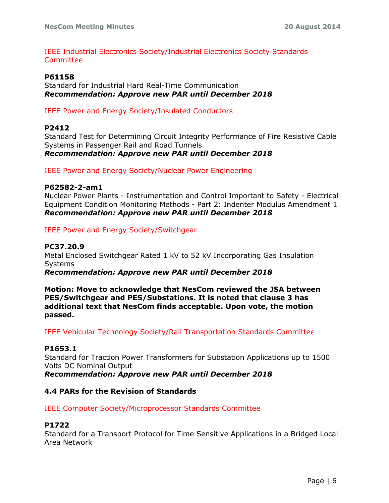IEEE Industrial Electronics Society/Industrial Electronics Society Standards Committee

#### **P61158**

Standard for Industrial Hard Real-Time Communication *Recommendation: Approve new PAR until December 2018*

IEEE Power and Energy Society/Insulated Conductors

#### **P2412**

Standard Test for Determining Circuit Integrity Performance of Fire Resistive Cable Systems in Passenger Rail and Road Tunnels *Recommendation: Approve new PAR until December 2018*

IEEE Power and Energy Society/Nuclear Power Engineering

#### **P62582-2-am1**

Nuclear Power Plants - Instrumentation and Control Important to Safety - Electrical Equipment Condition Monitoring Methods - Part 2: Indenter Modulus Amendment 1 *Recommendation: Approve new PAR until December 2018*

IEEE Power and Energy Society/Switchgear

#### **PC37.20.9**

Metal Enclosed Switchgear Rated 1 kV to 52 kV Incorporating Gas Insulation Systems

*Recommendation: Approve new PAR until December 2018*

**Motion: Move to acknowledge that NesCom reviewed the JSA between PES/Switchgear and PES/Substations. It is noted that clause 3 has additional text that NesCom finds acceptable. Upon vote, the motion passed.**

IEEE Vehicular Technology Society/Rail Transportation Standards Committee

#### **P1653.1**

Standard for Traction Power Transformers for Substation Applications up to 1500 Volts DC Nominal Output

*Recommendation: Approve new PAR until December 2018*

#### **4.4 PARs for the Revision of Standards**

IEEE Computer Society/Microprocessor Standards Committee

#### **P1722**

Standard for a Transport Protocol for Time Sensitive Applications in a Bridged Local Area Network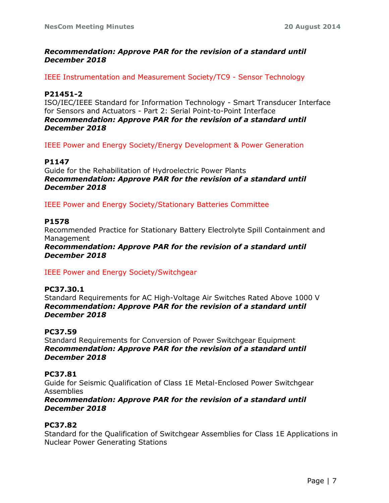### *Recommendation: Approve PAR for the revision of a standard until December 2018*

IEEE Instrumentation and Measurement Society/TC9 - Sensor Technology

### **P21451-2**

ISO/IEC/IEEE Standard for Information Technology - Smart Transducer Interface for Sensors and Actuators - Part 2: Serial Point-to-Point Interface *Recommendation: Approve PAR for the revision of a standard until December 2018*

IEEE Power and Energy Society/Energy Development & Power Generation

### **P1147**

Guide for the Rehabilitation of Hydroelectric Power Plants *Recommendation: Approve PAR for the revision of a standard until December 2018*

IEEE Power and Energy Society/Stationary Batteries Committee

#### **P1578**

Recommended Practice for Stationary Battery Electrolyte Spill Containment and Management

*Recommendation: Approve PAR for the revision of a standard until December 2018*

IEEE Power and Energy Society/Switchgear

#### **PC37.30.1** Standard Requirements for AC High-Voltage Air Switches Rated Above 1000 V *Recommendation: Approve PAR for the revision of a standard until December 2018*

#### **PC37.59**

Standard Requirements for Conversion of Power Switchgear Equipment *Recommendation: Approve PAR for the revision of a standard until December 2018*

#### **PC37.81**

Guide for Seismic Qualification of Class 1E Metal-Enclosed Power Switchgear Assemblies

#### *Recommendation: Approve PAR for the revision of a standard until December 2018*

#### **PC37.82**

Standard for the Qualification of Switchgear Assemblies for Class 1E Applications in Nuclear Power Generating Stations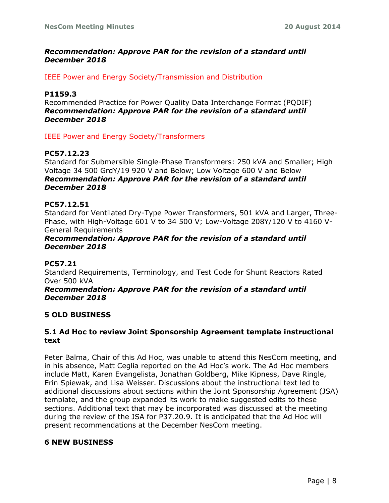### *Recommendation: Approve PAR for the revision of a standard until December 2018*

IEEE Power and Energy Society/Transmission and Distribution

#### **P1159.3**

Recommended Practice for Power Quality Data Interchange Format (PQDIF) *Recommendation: Approve PAR for the revision of a standard until December 2018*

IEEE Power and Energy Society/Transformers

### **PC57.12.23**

Standard for Submersible Single-Phase Transformers: 250 kVA and Smaller; High Voltage 34 500 GrdY/19 920 V and Below; Low Voltage 600 V and Below *Recommendation: Approve PAR for the revision of a standard until December 2018*

#### **PC57.12.51**

Standard for Ventilated Dry-Type Power Transformers, 501 kVA and Larger, Three-Phase, with High-Voltage 601 V to 34 500 V; Low-Voltage 208Y/120 V to 4160 V-General Requirements

#### *Recommendation: Approve PAR for the revision of a standard until December 2018*

#### **PC57.21**

Standard Requirements, Terminology, and Test Code for Shunt Reactors Rated Over 500 kVA

#### *Recommendation: Approve PAR for the revision of a standard until December 2018*

#### **5 OLD BUSINESS**

#### **5.1 Ad Hoc to review Joint Sponsorship Agreement template instructional text**

Peter Balma, Chair of this Ad Hoc, was unable to attend this NesCom meeting, and in his absence, Matt Ceglia reported on the Ad Hoc's work. The Ad Hoc members include Matt, Karen Evangelista, Jonathan Goldberg, Mike Kipness, Dave Ringle, Erin Spiewak, and Lisa Weisser. Discussions about the instructional text led to additional discussions about sections within the Joint Sponsorship Agreement (JSA) template, and the group expanded its work to make suggested edits to these sections. Additional text that may be incorporated was discussed at the meeting during the review of the JSA for P37.20.9. It is anticipated that the Ad Hoc will present recommendations at the December NesCom meeting.

#### **6 NEW BUSINESS**